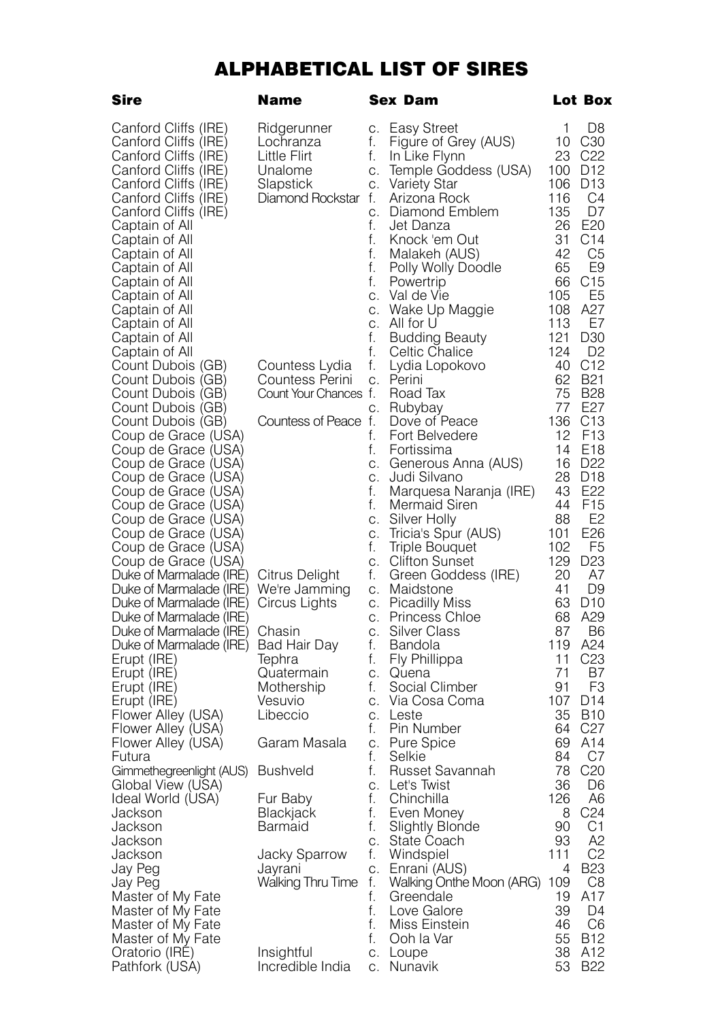## ALPHABETICAL LIST OF SIRES

| Sire                                       | Name                  |          | Sex Dam                             | Lot Box   |                                    |
|--------------------------------------------|-----------------------|----------|-------------------------------------|-----------|------------------------------------|
| Canford Cliffs (IRE)                       | Ridgerunner           | С.       | Easy Street                         | 1         | D8                                 |
| Canford Cliffs (IRE)                       | Lochranza             | f.       | Figure of Grey (AUS)                | 10        | C <sub>30</sub>                    |
| Canford Cliffs (IRE)                       | Little Flirt          | f.       | In Like Flynn                       | 23        | C <sub>22</sub>                    |
| Canford Cliffs (IRE)                       | Unalome               | С.       | Temple Goddess (USA)                | 100       | D <sub>12</sub>                    |
| Canford Cliffs (IRE)                       | Slapstick             | C.       | Variety Star                        | 106       | D <sub>13</sub>                    |
| Canford Cliffs (IRE)                       | Diamond Rockstar f.   |          | Arizona Rock                        | 116       | C4                                 |
| Canford Cliffs (IRE)                       |                       | C.       | Diamond Emblem                      | 135       | D7                                 |
| Captain of All                             |                       | f.       | Jet Danza                           | 26        | E20                                |
| Captain of All                             |                       | f.       | Knock 'em Out                       | 31        | C <sub>14</sub>                    |
| Captain of All                             |                       | f.       | Malakeh (AUS)                       | 42        | C5                                 |
| Captain of All                             |                       | f.       | Polly Wolly Doodle                  | 65        | E9                                 |
| Captain of All                             |                       | f.       | Powertrip                           | 66        | C <sub>15</sub>                    |
| Captain of All                             |                       | С.       | Val de Vie                          | 105       | E5                                 |
| Captain of All                             |                       | С.       | Wake Up Maggie                      | 108       | A27                                |
| Captain of All                             |                       | C.       | All for U                           | 113       | E7                                 |
| Captain of All                             |                       | f.       | <b>Budding Beauty</b>               | 121       | D <sub>30</sub>                    |
| Captain of All                             |                       | f.       | Celtic Chalice                      | 124       | D <sub>2</sub>                     |
| Count Dubois (GB)                          | Countess Lydia        | f.       | Lydia Lopokovo                      | 40        | C12                                |
| Count Dubois (GB)                          | Countess Perini       | C.       | Perini                              | 62        | <b>B21</b>                         |
| Count Dubois (GB)                          | Count Your Chances f. |          | Road Tax                            | 75        | <b>B28</b>                         |
| Count Dubois (GB)                          |                       | C.       | Rubybay                             | 77        | E27                                |
| Count Dubois (GB)                          | Countess of Peace f.  |          | Dove of Peace                       | 136       | C13                                |
| Coup de Grace (USA)                        |                       | f.       | Fort Belvedere                      | 12        | F <sub>13</sub>                    |
| Coup de Grace (USA)                        |                       | f.       | Fortissima                          | 14        | E <sub>18</sub>                    |
| Coup de Grace (USA)                        |                       | C.       | Generous Anna (AUS)<br>Judi Silvano | 16<br>28  | D <sub>22</sub><br>D <sub>18</sub> |
| Coup de Grace (USA)<br>Coup de Grace (USA) |                       | С.<br>f. | Marquesa Naranja (IRE)              | 43        | E <sub>22</sub>                    |
| Coup de Grace (USA)                        |                       | f.       | Mermaid Siren                       | 44        | F <sub>15</sub>                    |
| Coup de Grace (USA)                        |                       | C.       | Silver Holly                        | 88        | E <sub>2</sub>                     |
| Coup de Grace (USA)                        |                       | C.       | Tricia's Spur (AUS)                 | 101       | E26                                |
| Coup de Grace (USA)                        |                       | f.       | Triple Bouquet                      | 102       | F5                                 |
| Coup de Grace (USA)                        |                       | C.       | Clifton Sunset                      | 129       | D <sub>23</sub>                    |
| Duke of Marmalade (IRE)                    | Citrus Delight        | f.       | Green Goddess (IRE)                 | 20        | A7                                 |
| Duke of Marmalade (IRE)                    | We're Jamming         | C.       | Maidstone                           | 41        | D9                                 |
| Duke of Marmalade (IRE)                    | Circus Lights         | C.       | <b>Picadilly Miss</b>               | 63        | D <sub>10</sub>                    |
| Duke of Marmalade (IRE)                    |                       | C.       | Princess Chloe                      | 68        | A29                                |
| Duke of Marmalade (IRE)                    | Chasin                | C.       | Silver Class                        | 87        | B6                                 |
| Duke of Marmalade (IRE)                    | Bad Hair Day          | f.       | <b>Bandola</b>                      | 119       | A24                                |
| Erupt (IRE)                                | lephra                | t.       | Fly Phillippa                       | 11        | C <sub>23</sub>                    |
| Erupt (IRE)                                | Quatermain            | C.       | Quena                               | 71        | B7                                 |
| Erupt (IRE)                                | Mothership            | f.<br>C. | Social Climber                      | 91<br>107 | F3<br>D <sub>14</sub>              |
| Erupt (IRE)<br>Flower Alley (USA)          | Vesuvio<br>Libeccio   | C.       | Via Cosa Coma<br>Leste              | 35        | <b>B10</b>                         |
| Flower Alley (USA)                         |                       | f.       | Pin Number                          | 64        | C <sub>27</sub>                    |
| Flower Alley (USA)                         | Garam Masala          | C.       | Pure Spice                          | 69        | A14                                |
| Futura                                     |                       | f.       | Selkie                              | 84        | C7                                 |
| Gimmethegreenlight (AUS)                   | <b>Bushveld</b>       | f.       | Russet Savannah                     | 78        | C <sub>20</sub>                    |
| Global View (USA)                          |                       |          | c. Let's Twist                      | 36        | D6                                 |
| Ideal World (USA)                          | Fur Baby              | f.       | Chinchilla                          | 126       | A6                                 |
| Jackson                                    | Blackjack             | f.       | Even Money                          | 8         | C <sub>24</sub>                    |
| Jackson                                    | Barmaid               | f.       | <b>Slightly Blonde</b>              | 90        | C <sub>1</sub>                     |
| Jackson                                    |                       | C.       | State Coach                         | 93        | A2                                 |
| Jackson                                    | Jacky Sparrow         | f.       | Windspiel                           | 111       | C <sub>2</sub>                     |
| Jay Peg                                    | Jayrani               | С.       | Enrani (AUS)                        | 4         | <b>B23</b>                         |
| Jay Peg                                    | Walking Thru Time     | f.       | Walking Onthe Moon (ARG) 109        |           | C8                                 |
| Master of My Fate<br>Master of My Fate     |                       | f.<br>f. | Greendale<br>Love Galore            | 19<br>39  | A17<br>D4                          |
| Master of My Fate                          |                       | f.       | Miss Einstein                       | 46        | C6                                 |
| Master of My Fate                          |                       | f.       | Ooh la Var                          | 55        | <b>B12</b>                         |
| Oratorio (IRE)                             | Insightful            | C.       | Loupe                               | 38        | A12                                |
| Pathfork (USA)                             | Incredible India      | С.       | Nunavik                             | 53        | <b>B22</b>                         |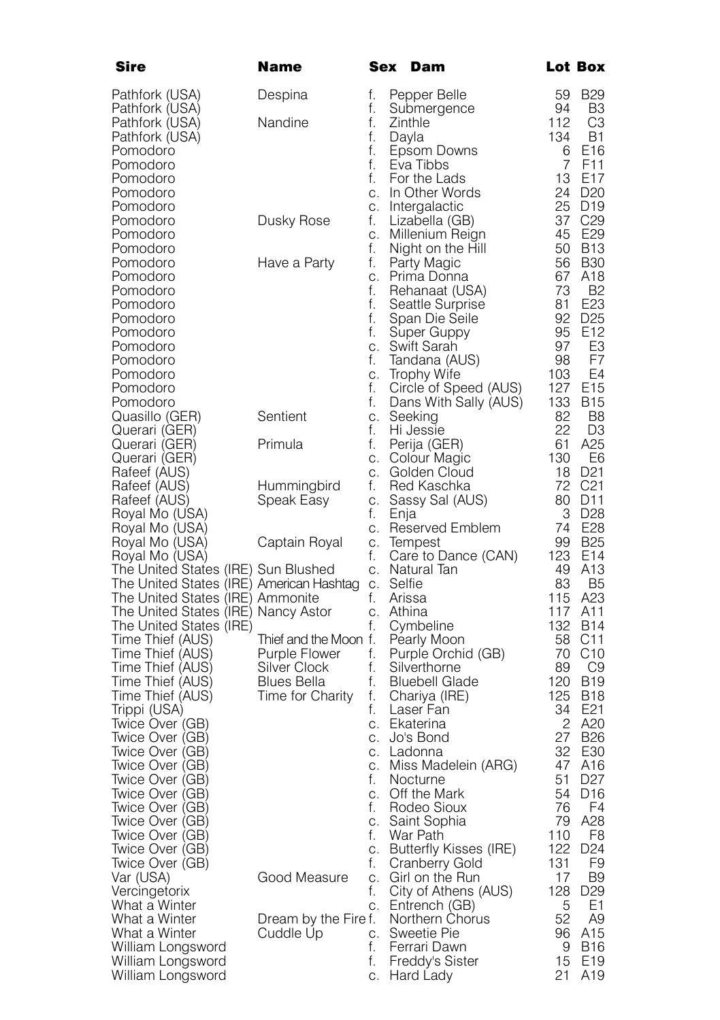| Pathfork (USA)<br>Despina<br>f.<br>Pepper Belle<br>59<br>B <sub>29</sub><br>Pathfork (USA)<br>f.<br>94<br>B3<br>Submergence<br>Pathfork (USA)<br>Nandine<br>f.<br>112<br>CЗ<br>Zinthle<br>134<br>B1<br>Pathfork (USA)<br>f.<br>Dayla<br>f.<br>Pomodoro<br>Epsom Downs<br>6<br>E16<br>$\overline{7}$<br>f.<br>Eva Tibbs<br>F <sub>11</sub><br>Pomodoro<br>For the Lads<br>13<br>E17<br>Pomodoro<br>f.<br>24 D <sub>20</sub><br>Pomodoro<br>In Other Words<br>C.<br>25 D19<br>Intergalactic<br>Pomodoro<br>C.<br>37<br>C <sub>29</sub><br>Pomodoro<br>Dusky Rose<br>f.<br>Lizabella (GB)<br>45<br>E29<br>Pomodoro<br>Millenium Reign<br>C.<br>Pomodoro<br>f.<br>50<br>B13<br>Night on the Hill<br><b>B30</b><br>Pomodoro<br>Have a Party<br>f.<br>Party Magic<br>56<br>A <sub>18</sub><br>Pomodoro<br>Prima Donna<br>67<br>С.<br>f.<br>73<br>- B2<br>Pomodoro<br>Rehanaat (USA)<br>f.<br>E <sub>23</sub><br>81<br>Pomodoro<br>Seattle Surprise<br>f.<br>92<br>D <sub>25</sub><br>Pomodoro<br>Span Die Seile<br>95<br>E12<br>Pomodoro<br>f.<br>Super Guppy<br>97<br>E3<br>Pomodoro<br>Swift Sarah<br>С.<br>98<br>F7<br>Pomodoro<br>f.<br>landana (AUS)<br>E4<br>Pomodoro<br>Trophy Wite<br>103<br>С.<br>f.<br>127<br>E <sub>15</sub><br>Pomodoro<br>Circle of Speed (AUS)<br>f.<br>133<br>Pomodoro<br>Dans With Sally (AUS)<br>B <sub>15</sub><br>Sentient<br>82<br>Quasillo (GER)<br>B8<br>C.<br>Seeking<br>22<br>f.<br>Querari (GER)<br>Hi Jessie<br>D3<br>Primula<br>A25<br>Querari (GER)<br>f.<br>Perija (GER)<br>61<br>130<br>E6<br>Colour Magic<br>Querari (GER)<br>С.<br>Rafeef (AUS)<br>Golden Cloud<br>18 D <sub>21</sub><br>С.<br>Red Kaschka<br>72 C <sub>21</sub><br>Rafeef (AUS)<br>Hummingbird<br>f.<br>Rafeef (AUS)<br>Speak Easy<br>Sassy Sal (AUS)<br>80 D11<br>C.<br>3 D <sub>28</sub><br>Royal Mo (USA)<br>t.<br>Enja<br>74<br>Royal Mo (USA)<br>E28<br>Reserved Emblem<br>С.<br>Royal Mo (USA)<br><b>B25</b><br>Captain Royal<br>99<br>C.<br>lempest<br>123<br>f.<br>E14<br>Royal Mo (USA)<br>Care to Dance (CAN)<br>The United States (IRE) Sun Blushed<br>49<br>A <sub>13</sub><br>Natural Tan<br>C.<br>The United States (IRE) American Hashtag<br>Selfie<br>83<br>B <sub>5</sub><br>C.<br>115<br>The United States (IRE) Ammonite<br>f.<br>Arissa<br>A23<br>The United States (IRE) Nancy Astor<br>117<br>A <sub>11</sub><br>Athina<br>C.<br>132 B14<br>The United States (IRE)<br>f.<br>Cymbeline<br>Time Thief (AUS)<br>Thief and the Moon f.<br>Pearly Moon<br>58 C11<br>Time Thief (AUS)<br>Purple Flower<br>f.<br>Purple Orchid (GB)<br>70<br>C10<br>Silver Clock<br>f.<br>89<br>C9<br>Time Thief (AUS)<br>Silverthorne<br>120<br>Time Thief (AUS)<br>Blues Bella<br>f.<br><b>Bluebell Glade</b><br><b>B19</b><br>Time Thief (AUS)<br>Time for Charity<br>f.<br>125<br><b>B18</b><br>Chariya (IRE)<br>34<br>E21<br>Trippi (USA)<br>f.<br>Laser Fan<br>2<br>A20<br>Twice Over (GB)<br>Ekaterina<br>C.<br>Jo's Bond<br>27<br><b>B26</b><br>Twice Over (GB)<br>С.<br>Twice Over (GB)<br>Ladonna<br>32<br>E30<br>С.<br>Twice Over (GB)<br>Miss Madelein (ARG)<br>47<br>A16<br>С.<br>51<br>D <sub>27</sub><br>Twice Over (GB)<br>f.<br>Nocturne<br>Off the Mark<br>Twice Over (GB)<br>54<br>D <sub>16</sub><br>C.<br>Twice Over (GB)<br>f.<br>Rodeo Sioux<br>76<br>F4<br>Twice Over (GB)<br>Saint Sophia<br>79 A28<br>C.<br>Twice Over (GB)<br>War Path<br>F8<br>f.<br>110<br>Twice Over (GB)<br>C.<br>Butterfly Kisses (IRE)<br>122<br>D24<br>Twice Over (GB)<br>131<br>F9<br>f.<br>Cranberry Gold<br>Good Measure<br>17<br>Girl on the Run<br>B9<br>Var (USA)<br>С.<br>Vercingetorix<br>City of Athens (AUS)<br>128<br>D <sub>29</sub><br>f.<br>What a Winter<br>5<br>Ε1<br>C.<br>Entrench (GB)<br>What a Winter<br>Dream by the Fire f.<br>Northern Chorus<br>52<br>A9<br>A15<br>What a Winter<br>Cuddle Up<br>Sweetie Pie<br>96<br>C.<br>Ferrari Dawn<br>William Longsword<br>f.<br>9<br>B16<br>William Longsword<br>f.<br>Freddy's Sister<br>15<br>E <sub>19</sub> | Sire              | Name | Sex | Dam       |    | Lot Box |
|----------------------------------------------------------------------------------------------------------------------------------------------------------------------------------------------------------------------------------------------------------------------------------------------------------------------------------------------------------------------------------------------------------------------------------------------------------------------------------------------------------------------------------------------------------------------------------------------------------------------------------------------------------------------------------------------------------------------------------------------------------------------------------------------------------------------------------------------------------------------------------------------------------------------------------------------------------------------------------------------------------------------------------------------------------------------------------------------------------------------------------------------------------------------------------------------------------------------------------------------------------------------------------------------------------------------------------------------------------------------------------------------------------------------------------------------------------------------------------------------------------------------------------------------------------------------------------------------------------------------------------------------------------------------------------------------------------------------------------------------------------------------------------------------------------------------------------------------------------------------------------------------------------------------------------------------------------------------------------------------------------------------------------------------------------------------------------------------------------------------------------------------------------------------------------------------------------------------------------------------------------------------------------------------------------------------------------------------------------------------------------------------------------------------------------------------------------------------------------------------------------------------------------------------------------------------------------------------------------------------------------------------------------------------------------------------------------------------------------------------------------------------------------------------------------------------------------------------------------------------------------------------------------------------------------------------------------------------------------------------------------------------------------------------------------------------------------------------------------------------------------------------------------------------------------------------------------------------------------------------------------------------------------------------------------------------------------------------------------------------------------------------------------------------------------------------------------------------------------------------------------------------------------------------------------------------------------------------------------------------------------------------------------------------------------------------------------------------------------------------------------------------------------------------------------------------------------------------------------------------------------------------------------------------------------------------------------------------------------------------|-------------------|------|-----|-----------|----|---------|
|                                                                                                                                                                                                                                                                                                                                                                                                                                                                                                                                                                                                                                                                                                                                                                                                                                                                                                                                                                                                                                                                                                                                                                                                                                                                                                                                                                                                                                                                                                                                                                                                                                                                                                                                                                                                                                                                                                                                                                                                                                                                                                                                                                                                                                                                                                                                                                                                                                                                                                                                                                                                                                                                                                                                                                                                                                                                                                                                                                                                                                                                                                                                                                                                                                                                                                                                                                                                                                                                                                                                                                                                                                                                                                                                                                                                                                                                                                                                                                                              |                   |      |     |           |    |         |
|                                                                                                                                                                                                                                                                                                                                                                                                                                                                                                                                                                                                                                                                                                                                                                                                                                                                                                                                                                                                                                                                                                                                                                                                                                                                                                                                                                                                                                                                                                                                                                                                                                                                                                                                                                                                                                                                                                                                                                                                                                                                                                                                                                                                                                                                                                                                                                                                                                                                                                                                                                                                                                                                                                                                                                                                                                                                                                                                                                                                                                                                                                                                                                                                                                                                                                                                                                                                                                                                                                                                                                                                                                                                                                                                                                                                                                                                                                                                                                                              |                   |      |     |           |    |         |
|                                                                                                                                                                                                                                                                                                                                                                                                                                                                                                                                                                                                                                                                                                                                                                                                                                                                                                                                                                                                                                                                                                                                                                                                                                                                                                                                                                                                                                                                                                                                                                                                                                                                                                                                                                                                                                                                                                                                                                                                                                                                                                                                                                                                                                                                                                                                                                                                                                                                                                                                                                                                                                                                                                                                                                                                                                                                                                                                                                                                                                                                                                                                                                                                                                                                                                                                                                                                                                                                                                                                                                                                                                                                                                                                                                                                                                                                                                                                                                                              |                   |      |     |           |    |         |
|                                                                                                                                                                                                                                                                                                                                                                                                                                                                                                                                                                                                                                                                                                                                                                                                                                                                                                                                                                                                                                                                                                                                                                                                                                                                                                                                                                                                                                                                                                                                                                                                                                                                                                                                                                                                                                                                                                                                                                                                                                                                                                                                                                                                                                                                                                                                                                                                                                                                                                                                                                                                                                                                                                                                                                                                                                                                                                                                                                                                                                                                                                                                                                                                                                                                                                                                                                                                                                                                                                                                                                                                                                                                                                                                                                                                                                                                                                                                                                                              |                   |      |     |           |    |         |
|                                                                                                                                                                                                                                                                                                                                                                                                                                                                                                                                                                                                                                                                                                                                                                                                                                                                                                                                                                                                                                                                                                                                                                                                                                                                                                                                                                                                                                                                                                                                                                                                                                                                                                                                                                                                                                                                                                                                                                                                                                                                                                                                                                                                                                                                                                                                                                                                                                                                                                                                                                                                                                                                                                                                                                                                                                                                                                                                                                                                                                                                                                                                                                                                                                                                                                                                                                                                                                                                                                                                                                                                                                                                                                                                                                                                                                                                                                                                                                                              |                   |      |     |           |    |         |
|                                                                                                                                                                                                                                                                                                                                                                                                                                                                                                                                                                                                                                                                                                                                                                                                                                                                                                                                                                                                                                                                                                                                                                                                                                                                                                                                                                                                                                                                                                                                                                                                                                                                                                                                                                                                                                                                                                                                                                                                                                                                                                                                                                                                                                                                                                                                                                                                                                                                                                                                                                                                                                                                                                                                                                                                                                                                                                                                                                                                                                                                                                                                                                                                                                                                                                                                                                                                                                                                                                                                                                                                                                                                                                                                                                                                                                                                                                                                                                                              |                   |      |     |           |    |         |
|                                                                                                                                                                                                                                                                                                                                                                                                                                                                                                                                                                                                                                                                                                                                                                                                                                                                                                                                                                                                                                                                                                                                                                                                                                                                                                                                                                                                                                                                                                                                                                                                                                                                                                                                                                                                                                                                                                                                                                                                                                                                                                                                                                                                                                                                                                                                                                                                                                                                                                                                                                                                                                                                                                                                                                                                                                                                                                                                                                                                                                                                                                                                                                                                                                                                                                                                                                                                                                                                                                                                                                                                                                                                                                                                                                                                                                                                                                                                                                                              |                   |      |     |           |    |         |
|                                                                                                                                                                                                                                                                                                                                                                                                                                                                                                                                                                                                                                                                                                                                                                                                                                                                                                                                                                                                                                                                                                                                                                                                                                                                                                                                                                                                                                                                                                                                                                                                                                                                                                                                                                                                                                                                                                                                                                                                                                                                                                                                                                                                                                                                                                                                                                                                                                                                                                                                                                                                                                                                                                                                                                                                                                                                                                                                                                                                                                                                                                                                                                                                                                                                                                                                                                                                                                                                                                                                                                                                                                                                                                                                                                                                                                                                                                                                                                                              |                   |      |     |           |    |         |
|                                                                                                                                                                                                                                                                                                                                                                                                                                                                                                                                                                                                                                                                                                                                                                                                                                                                                                                                                                                                                                                                                                                                                                                                                                                                                                                                                                                                                                                                                                                                                                                                                                                                                                                                                                                                                                                                                                                                                                                                                                                                                                                                                                                                                                                                                                                                                                                                                                                                                                                                                                                                                                                                                                                                                                                                                                                                                                                                                                                                                                                                                                                                                                                                                                                                                                                                                                                                                                                                                                                                                                                                                                                                                                                                                                                                                                                                                                                                                                                              |                   |      |     |           |    |         |
|                                                                                                                                                                                                                                                                                                                                                                                                                                                                                                                                                                                                                                                                                                                                                                                                                                                                                                                                                                                                                                                                                                                                                                                                                                                                                                                                                                                                                                                                                                                                                                                                                                                                                                                                                                                                                                                                                                                                                                                                                                                                                                                                                                                                                                                                                                                                                                                                                                                                                                                                                                                                                                                                                                                                                                                                                                                                                                                                                                                                                                                                                                                                                                                                                                                                                                                                                                                                                                                                                                                                                                                                                                                                                                                                                                                                                                                                                                                                                                                              |                   |      |     |           |    |         |
|                                                                                                                                                                                                                                                                                                                                                                                                                                                                                                                                                                                                                                                                                                                                                                                                                                                                                                                                                                                                                                                                                                                                                                                                                                                                                                                                                                                                                                                                                                                                                                                                                                                                                                                                                                                                                                                                                                                                                                                                                                                                                                                                                                                                                                                                                                                                                                                                                                                                                                                                                                                                                                                                                                                                                                                                                                                                                                                                                                                                                                                                                                                                                                                                                                                                                                                                                                                                                                                                                                                                                                                                                                                                                                                                                                                                                                                                                                                                                                                              |                   |      |     |           |    |         |
|                                                                                                                                                                                                                                                                                                                                                                                                                                                                                                                                                                                                                                                                                                                                                                                                                                                                                                                                                                                                                                                                                                                                                                                                                                                                                                                                                                                                                                                                                                                                                                                                                                                                                                                                                                                                                                                                                                                                                                                                                                                                                                                                                                                                                                                                                                                                                                                                                                                                                                                                                                                                                                                                                                                                                                                                                                                                                                                                                                                                                                                                                                                                                                                                                                                                                                                                                                                                                                                                                                                                                                                                                                                                                                                                                                                                                                                                                                                                                                                              |                   |      |     |           |    |         |
|                                                                                                                                                                                                                                                                                                                                                                                                                                                                                                                                                                                                                                                                                                                                                                                                                                                                                                                                                                                                                                                                                                                                                                                                                                                                                                                                                                                                                                                                                                                                                                                                                                                                                                                                                                                                                                                                                                                                                                                                                                                                                                                                                                                                                                                                                                                                                                                                                                                                                                                                                                                                                                                                                                                                                                                                                                                                                                                                                                                                                                                                                                                                                                                                                                                                                                                                                                                                                                                                                                                                                                                                                                                                                                                                                                                                                                                                                                                                                                                              |                   |      |     |           |    |         |
|                                                                                                                                                                                                                                                                                                                                                                                                                                                                                                                                                                                                                                                                                                                                                                                                                                                                                                                                                                                                                                                                                                                                                                                                                                                                                                                                                                                                                                                                                                                                                                                                                                                                                                                                                                                                                                                                                                                                                                                                                                                                                                                                                                                                                                                                                                                                                                                                                                                                                                                                                                                                                                                                                                                                                                                                                                                                                                                                                                                                                                                                                                                                                                                                                                                                                                                                                                                                                                                                                                                                                                                                                                                                                                                                                                                                                                                                                                                                                                                              |                   |      |     |           |    |         |
|                                                                                                                                                                                                                                                                                                                                                                                                                                                                                                                                                                                                                                                                                                                                                                                                                                                                                                                                                                                                                                                                                                                                                                                                                                                                                                                                                                                                                                                                                                                                                                                                                                                                                                                                                                                                                                                                                                                                                                                                                                                                                                                                                                                                                                                                                                                                                                                                                                                                                                                                                                                                                                                                                                                                                                                                                                                                                                                                                                                                                                                                                                                                                                                                                                                                                                                                                                                                                                                                                                                                                                                                                                                                                                                                                                                                                                                                                                                                                                                              |                   |      |     |           |    |         |
|                                                                                                                                                                                                                                                                                                                                                                                                                                                                                                                                                                                                                                                                                                                                                                                                                                                                                                                                                                                                                                                                                                                                                                                                                                                                                                                                                                                                                                                                                                                                                                                                                                                                                                                                                                                                                                                                                                                                                                                                                                                                                                                                                                                                                                                                                                                                                                                                                                                                                                                                                                                                                                                                                                                                                                                                                                                                                                                                                                                                                                                                                                                                                                                                                                                                                                                                                                                                                                                                                                                                                                                                                                                                                                                                                                                                                                                                                                                                                                                              |                   |      |     |           |    |         |
|                                                                                                                                                                                                                                                                                                                                                                                                                                                                                                                                                                                                                                                                                                                                                                                                                                                                                                                                                                                                                                                                                                                                                                                                                                                                                                                                                                                                                                                                                                                                                                                                                                                                                                                                                                                                                                                                                                                                                                                                                                                                                                                                                                                                                                                                                                                                                                                                                                                                                                                                                                                                                                                                                                                                                                                                                                                                                                                                                                                                                                                                                                                                                                                                                                                                                                                                                                                                                                                                                                                                                                                                                                                                                                                                                                                                                                                                                                                                                                                              |                   |      |     |           |    |         |
|                                                                                                                                                                                                                                                                                                                                                                                                                                                                                                                                                                                                                                                                                                                                                                                                                                                                                                                                                                                                                                                                                                                                                                                                                                                                                                                                                                                                                                                                                                                                                                                                                                                                                                                                                                                                                                                                                                                                                                                                                                                                                                                                                                                                                                                                                                                                                                                                                                                                                                                                                                                                                                                                                                                                                                                                                                                                                                                                                                                                                                                                                                                                                                                                                                                                                                                                                                                                                                                                                                                                                                                                                                                                                                                                                                                                                                                                                                                                                                                              |                   |      |     |           |    |         |
|                                                                                                                                                                                                                                                                                                                                                                                                                                                                                                                                                                                                                                                                                                                                                                                                                                                                                                                                                                                                                                                                                                                                                                                                                                                                                                                                                                                                                                                                                                                                                                                                                                                                                                                                                                                                                                                                                                                                                                                                                                                                                                                                                                                                                                                                                                                                                                                                                                                                                                                                                                                                                                                                                                                                                                                                                                                                                                                                                                                                                                                                                                                                                                                                                                                                                                                                                                                                                                                                                                                                                                                                                                                                                                                                                                                                                                                                                                                                                                                              |                   |      |     |           |    |         |
|                                                                                                                                                                                                                                                                                                                                                                                                                                                                                                                                                                                                                                                                                                                                                                                                                                                                                                                                                                                                                                                                                                                                                                                                                                                                                                                                                                                                                                                                                                                                                                                                                                                                                                                                                                                                                                                                                                                                                                                                                                                                                                                                                                                                                                                                                                                                                                                                                                                                                                                                                                                                                                                                                                                                                                                                                                                                                                                                                                                                                                                                                                                                                                                                                                                                                                                                                                                                                                                                                                                                                                                                                                                                                                                                                                                                                                                                                                                                                                                              |                   |      |     |           |    |         |
|                                                                                                                                                                                                                                                                                                                                                                                                                                                                                                                                                                                                                                                                                                                                                                                                                                                                                                                                                                                                                                                                                                                                                                                                                                                                                                                                                                                                                                                                                                                                                                                                                                                                                                                                                                                                                                                                                                                                                                                                                                                                                                                                                                                                                                                                                                                                                                                                                                                                                                                                                                                                                                                                                                                                                                                                                                                                                                                                                                                                                                                                                                                                                                                                                                                                                                                                                                                                                                                                                                                                                                                                                                                                                                                                                                                                                                                                                                                                                                                              |                   |      |     |           |    |         |
|                                                                                                                                                                                                                                                                                                                                                                                                                                                                                                                                                                                                                                                                                                                                                                                                                                                                                                                                                                                                                                                                                                                                                                                                                                                                                                                                                                                                                                                                                                                                                                                                                                                                                                                                                                                                                                                                                                                                                                                                                                                                                                                                                                                                                                                                                                                                                                                                                                                                                                                                                                                                                                                                                                                                                                                                                                                                                                                                                                                                                                                                                                                                                                                                                                                                                                                                                                                                                                                                                                                                                                                                                                                                                                                                                                                                                                                                                                                                                                                              |                   |      |     |           |    |         |
|                                                                                                                                                                                                                                                                                                                                                                                                                                                                                                                                                                                                                                                                                                                                                                                                                                                                                                                                                                                                                                                                                                                                                                                                                                                                                                                                                                                                                                                                                                                                                                                                                                                                                                                                                                                                                                                                                                                                                                                                                                                                                                                                                                                                                                                                                                                                                                                                                                                                                                                                                                                                                                                                                                                                                                                                                                                                                                                                                                                                                                                                                                                                                                                                                                                                                                                                                                                                                                                                                                                                                                                                                                                                                                                                                                                                                                                                                                                                                                                              |                   |      |     |           |    |         |
|                                                                                                                                                                                                                                                                                                                                                                                                                                                                                                                                                                                                                                                                                                                                                                                                                                                                                                                                                                                                                                                                                                                                                                                                                                                                                                                                                                                                                                                                                                                                                                                                                                                                                                                                                                                                                                                                                                                                                                                                                                                                                                                                                                                                                                                                                                                                                                                                                                                                                                                                                                                                                                                                                                                                                                                                                                                                                                                                                                                                                                                                                                                                                                                                                                                                                                                                                                                                                                                                                                                                                                                                                                                                                                                                                                                                                                                                                                                                                                                              |                   |      |     |           |    |         |
|                                                                                                                                                                                                                                                                                                                                                                                                                                                                                                                                                                                                                                                                                                                                                                                                                                                                                                                                                                                                                                                                                                                                                                                                                                                                                                                                                                                                                                                                                                                                                                                                                                                                                                                                                                                                                                                                                                                                                                                                                                                                                                                                                                                                                                                                                                                                                                                                                                                                                                                                                                                                                                                                                                                                                                                                                                                                                                                                                                                                                                                                                                                                                                                                                                                                                                                                                                                                                                                                                                                                                                                                                                                                                                                                                                                                                                                                                                                                                                                              |                   |      |     |           |    |         |
|                                                                                                                                                                                                                                                                                                                                                                                                                                                                                                                                                                                                                                                                                                                                                                                                                                                                                                                                                                                                                                                                                                                                                                                                                                                                                                                                                                                                                                                                                                                                                                                                                                                                                                                                                                                                                                                                                                                                                                                                                                                                                                                                                                                                                                                                                                                                                                                                                                                                                                                                                                                                                                                                                                                                                                                                                                                                                                                                                                                                                                                                                                                                                                                                                                                                                                                                                                                                                                                                                                                                                                                                                                                                                                                                                                                                                                                                                                                                                                                              |                   |      |     |           |    |         |
|                                                                                                                                                                                                                                                                                                                                                                                                                                                                                                                                                                                                                                                                                                                                                                                                                                                                                                                                                                                                                                                                                                                                                                                                                                                                                                                                                                                                                                                                                                                                                                                                                                                                                                                                                                                                                                                                                                                                                                                                                                                                                                                                                                                                                                                                                                                                                                                                                                                                                                                                                                                                                                                                                                                                                                                                                                                                                                                                                                                                                                                                                                                                                                                                                                                                                                                                                                                                                                                                                                                                                                                                                                                                                                                                                                                                                                                                                                                                                                                              |                   |      |     |           |    |         |
|                                                                                                                                                                                                                                                                                                                                                                                                                                                                                                                                                                                                                                                                                                                                                                                                                                                                                                                                                                                                                                                                                                                                                                                                                                                                                                                                                                                                                                                                                                                                                                                                                                                                                                                                                                                                                                                                                                                                                                                                                                                                                                                                                                                                                                                                                                                                                                                                                                                                                                                                                                                                                                                                                                                                                                                                                                                                                                                                                                                                                                                                                                                                                                                                                                                                                                                                                                                                                                                                                                                                                                                                                                                                                                                                                                                                                                                                                                                                                                                              |                   |      |     |           |    |         |
|                                                                                                                                                                                                                                                                                                                                                                                                                                                                                                                                                                                                                                                                                                                                                                                                                                                                                                                                                                                                                                                                                                                                                                                                                                                                                                                                                                                                                                                                                                                                                                                                                                                                                                                                                                                                                                                                                                                                                                                                                                                                                                                                                                                                                                                                                                                                                                                                                                                                                                                                                                                                                                                                                                                                                                                                                                                                                                                                                                                                                                                                                                                                                                                                                                                                                                                                                                                                                                                                                                                                                                                                                                                                                                                                                                                                                                                                                                                                                                                              |                   |      |     |           |    |         |
|                                                                                                                                                                                                                                                                                                                                                                                                                                                                                                                                                                                                                                                                                                                                                                                                                                                                                                                                                                                                                                                                                                                                                                                                                                                                                                                                                                                                                                                                                                                                                                                                                                                                                                                                                                                                                                                                                                                                                                                                                                                                                                                                                                                                                                                                                                                                                                                                                                                                                                                                                                                                                                                                                                                                                                                                                                                                                                                                                                                                                                                                                                                                                                                                                                                                                                                                                                                                                                                                                                                                                                                                                                                                                                                                                                                                                                                                                                                                                                                              |                   |      |     |           |    |         |
|                                                                                                                                                                                                                                                                                                                                                                                                                                                                                                                                                                                                                                                                                                                                                                                                                                                                                                                                                                                                                                                                                                                                                                                                                                                                                                                                                                                                                                                                                                                                                                                                                                                                                                                                                                                                                                                                                                                                                                                                                                                                                                                                                                                                                                                                                                                                                                                                                                                                                                                                                                                                                                                                                                                                                                                                                                                                                                                                                                                                                                                                                                                                                                                                                                                                                                                                                                                                                                                                                                                                                                                                                                                                                                                                                                                                                                                                                                                                                                                              |                   |      |     |           |    |         |
|                                                                                                                                                                                                                                                                                                                                                                                                                                                                                                                                                                                                                                                                                                                                                                                                                                                                                                                                                                                                                                                                                                                                                                                                                                                                                                                                                                                                                                                                                                                                                                                                                                                                                                                                                                                                                                                                                                                                                                                                                                                                                                                                                                                                                                                                                                                                                                                                                                                                                                                                                                                                                                                                                                                                                                                                                                                                                                                                                                                                                                                                                                                                                                                                                                                                                                                                                                                                                                                                                                                                                                                                                                                                                                                                                                                                                                                                                                                                                                                              |                   |      |     |           |    |         |
|                                                                                                                                                                                                                                                                                                                                                                                                                                                                                                                                                                                                                                                                                                                                                                                                                                                                                                                                                                                                                                                                                                                                                                                                                                                                                                                                                                                                                                                                                                                                                                                                                                                                                                                                                                                                                                                                                                                                                                                                                                                                                                                                                                                                                                                                                                                                                                                                                                                                                                                                                                                                                                                                                                                                                                                                                                                                                                                                                                                                                                                                                                                                                                                                                                                                                                                                                                                                                                                                                                                                                                                                                                                                                                                                                                                                                                                                                                                                                                                              |                   |      |     |           |    |         |
|                                                                                                                                                                                                                                                                                                                                                                                                                                                                                                                                                                                                                                                                                                                                                                                                                                                                                                                                                                                                                                                                                                                                                                                                                                                                                                                                                                                                                                                                                                                                                                                                                                                                                                                                                                                                                                                                                                                                                                                                                                                                                                                                                                                                                                                                                                                                                                                                                                                                                                                                                                                                                                                                                                                                                                                                                                                                                                                                                                                                                                                                                                                                                                                                                                                                                                                                                                                                                                                                                                                                                                                                                                                                                                                                                                                                                                                                                                                                                                                              |                   |      |     |           |    |         |
|                                                                                                                                                                                                                                                                                                                                                                                                                                                                                                                                                                                                                                                                                                                                                                                                                                                                                                                                                                                                                                                                                                                                                                                                                                                                                                                                                                                                                                                                                                                                                                                                                                                                                                                                                                                                                                                                                                                                                                                                                                                                                                                                                                                                                                                                                                                                                                                                                                                                                                                                                                                                                                                                                                                                                                                                                                                                                                                                                                                                                                                                                                                                                                                                                                                                                                                                                                                                                                                                                                                                                                                                                                                                                                                                                                                                                                                                                                                                                                                              |                   |      |     |           |    |         |
|                                                                                                                                                                                                                                                                                                                                                                                                                                                                                                                                                                                                                                                                                                                                                                                                                                                                                                                                                                                                                                                                                                                                                                                                                                                                                                                                                                                                                                                                                                                                                                                                                                                                                                                                                                                                                                                                                                                                                                                                                                                                                                                                                                                                                                                                                                                                                                                                                                                                                                                                                                                                                                                                                                                                                                                                                                                                                                                                                                                                                                                                                                                                                                                                                                                                                                                                                                                                                                                                                                                                                                                                                                                                                                                                                                                                                                                                                                                                                                                              |                   |      |     |           |    |         |
|                                                                                                                                                                                                                                                                                                                                                                                                                                                                                                                                                                                                                                                                                                                                                                                                                                                                                                                                                                                                                                                                                                                                                                                                                                                                                                                                                                                                                                                                                                                                                                                                                                                                                                                                                                                                                                                                                                                                                                                                                                                                                                                                                                                                                                                                                                                                                                                                                                                                                                                                                                                                                                                                                                                                                                                                                                                                                                                                                                                                                                                                                                                                                                                                                                                                                                                                                                                                                                                                                                                                                                                                                                                                                                                                                                                                                                                                                                                                                                                              |                   |      |     |           |    |         |
|                                                                                                                                                                                                                                                                                                                                                                                                                                                                                                                                                                                                                                                                                                                                                                                                                                                                                                                                                                                                                                                                                                                                                                                                                                                                                                                                                                                                                                                                                                                                                                                                                                                                                                                                                                                                                                                                                                                                                                                                                                                                                                                                                                                                                                                                                                                                                                                                                                                                                                                                                                                                                                                                                                                                                                                                                                                                                                                                                                                                                                                                                                                                                                                                                                                                                                                                                                                                                                                                                                                                                                                                                                                                                                                                                                                                                                                                                                                                                                                              |                   |      |     |           |    |         |
|                                                                                                                                                                                                                                                                                                                                                                                                                                                                                                                                                                                                                                                                                                                                                                                                                                                                                                                                                                                                                                                                                                                                                                                                                                                                                                                                                                                                                                                                                                                                                                                                                                                                                                                                                                                                                                                                                                                                                                                                                                                                                                                                                                                                                                                                                                                                                                                                                                                                                                                                                                                                                                                                                                                                                                                                                                                                                                                                                                                                                                                                                                                                                                                                                                                                                                                                                                                                                                                                                                                                                                                                                                                                                                                                                                                                                                                                                                                                                                                              |                   |      |     |           |    |         |
|                                                                                                                                                                                                                                                                                                                                                                                                                                                                                                                                                                                                                                                                                                                                                                                                                                                                                                                                                                                                                                                                                                                                                                                                                                                                                                                                                                                                                                                                                                                                                                                                                                                                                                                                                                                                                                                                                                                                                                                                                                                                                                                                                                                                                                                                                                                                                                                                                                                                                                                                                                                                                                                                                                                                                                                                                                                                                                                                                                                                                                                                                                                                                                                                                                                                                                                                                                                                                                                                                                                                                                                                                                                                                                                                                                                                                                                                                                                                                                                              |                   |      |     |           |    |         |
|                                                                                                                                                                                                                                                                                                                                                                                                                                                                                                                                                                                                                                                                                                                                                                                                                                                                                                                                                                                                                                                                                                                                                                                                                                                                                                                                                                                                                                                                                                                                                                                                                                                                                                                                                                                                                                                                                                                                                                                                                                                                                                                                                                                                                                                                                                                                                                                                                                                                                                                                                                                                                                                                                                                                                                                                                                                                                                                                                                                                                                                                                                                                                                                                                                                                                                                                                                                                                                                                                                                                                                                                                                                                                                                                                                                                                                                                                                                                                                                              |                   |      |     |           |    |         |
|                                                                                                                                                                                                                                                                                                                                                                                                                                                                                                                                                                                                                                                                                                                                                                                                                                                                                                                                                                                                                                                                                                                                                                                                                                                                                                                                                                                                                                                                                                                                                                                                                                                                                                                                                                                                                                                                                                                                                                                                                                                                                                                                                                                                                                                                                                                                                                                                                                                                                                                                                                                                                                                                                                                                                                                                                                                                                                                                                                                                                                                                                                                                                                                                                                                                                                                                                                                                                                                                                                                                                                                                                                                                                                                                                                                                                                                                                                                                                                                              |                   |      |     |           |    |         |
|                                                                                                                                                                                                                                                                                                                                                                                                                                                                                                                                                                                                                                                                                                                                                                                                                                                                                                                                                                                                                                                                                                                                                                                                                                                                                                                                                                                                                                                                                                                                                                                                                                                                                                                                                                                                                                                                                                                                                                                                                                                                                                                                                                                                                                                                                                                                                                                                                                                                                                                                                                                                                                                                                                                                                                                                                                                                                                                                                                                                                                                                                                                                                                                                                                                                                                                                                                                                                                                                                                                                                                                                                                                                                                                                                                                                                                                                                                                                                                                              |                   |      |     |           |    |         |
|                                                                                                                                                                                                                                                                                                                                                                                                                                                                                                                                                                                                                                                                                                                                                                                                                                                                                                                                                                                                                                                                                                                                                                                                                                                                                                                                                                                                                                                                                                                                                                                                                                                                                                                                                                                                                                                                                                                                                                                                                                                                                                                                                                                                                                                                                                                                                                                                                                                                                                                                                                                                                                                                                                                                                                                                                                                                                                                                                                                                                                                                                                                                                                                                                                                                                                                                                                                                                                                                                                                                                                                                                                                                                                                                                                                                                                                                                                                                                                                              |                   |      |     |           |    |         |
|                                                                                                                                                                                                                                                                                                                                                                                                                                                                                                                                                                                                                                                                                                                                                                                                                                                                                                                                                                                                                                                                                                                                                                                                                                                                                                                                                                                                                                                                                                                                                                                                                                                                                                                                                                                                                                                                                                                                                                                                                                                                                                                                                                                                                                                                                                                                                                                                                                                                                                                                                                                                                                                                                                                                                                                                                                                                                                                                                                                                                                                                                                                                                                                                                                                                                                                                                                                                                                                                                                                                                                                                                                                                                                                                                                                                                                                                                                                                                                                              |                   |      |     |           |    |         |
|                                                                                                                                                                                                                                                                                                                                                                                                                                                                                                                                                                                                                                                                                                                                                                                                                                                                                                                                                                                                                                                                                                                                                                                                                                                                                                                                                                                                                                                                                                                                                                                                                                                                                                                                                                                                                                                                                                                                                                                                                                                                                                                                                                                                                                                                                                                                                                                                                                                                                                                                                                                                                                                                                                                                                                                                                                                                                                                                                                                                                                                                                                                                                                                                                                                                                                                                                                                                                                                                                                                                                                                                                                                                                                                                                                                                                                                                                                                                                                                              |                   |      |     |           |    |         |
|                                                                                                                                                                                                                                                                                                                                                                                                                                                                                                                                                                                                                                                                                                                                                                                                                                                                                                                                                                                                                                                                                                                                                                                                                                                                                                                                                                                                                                                                                                                                                                                                                                                                                                                                                                                                                                                                                                                                                                                                                                                                                                                                                                                                                                                                                                                                                                                                                                                                                                                                                                                                                                                                                                                                                                                                                                                                                                                                                                                                                                                                                                                                                                                                                                                                                                                                                                                                                                                                                                                                                                                                                                                                                                                                                                                                                                                                                                                                                                                              |                   |      |     |           |    |         |
|                                                                                                                                                                                                                                                                                                                                                                                                                                                                                                                                                                                                                                                                                                                                                                                                                                                                                                                                                                                                                                                                                                                                                                                                                                                                                                                                                                                                                                                                                                                                                                                                                                                                                                                                                                                                                                                                                                                                                                                                                                                                                                                                                                                                                                                                                                                                                                                                                                                                                                                                                                                                                                                                                                                                                                                                                                                                                                                                                                                                                                                                                                                                                                                                                                                                                                                                                                                                                                                                                                                                                                                                                                                                                                                                                                                                                                                                                                                                                                                              |                   |      |     |           |    |         |
|                                                                                                                                                                                                                                                                                                                                                                                                                                                                                                                                                                                                                                                                                                                                                                                                                                                                                                                                                                                                                                                                                                                                                                                                                                                                                                                                                                                                                                                                                                                                                                                                                                                                                                                                                                                                                                                                                                                                                                                                                                                                                                                                                                                                                                                                                                                                                                                                                                                                                                                                                                                                                                                                                                                                                                                                                                                                                                                                                                                                                                                                                                                                                                                                                                                                                                                                                                                                                                                                                                                                                                                                                                                                                                                                                                                                                                                                                                                                                                                              |                   |      |     |           |    |         |
|                                                                                                                                                                                                                                                                                                                                                                                                                                                                                                                                                                                                                                                                                                                                                                                                                                                                                                                                                                                                                                                                                                                                                                                                                                                                                                                                                                                                                                                                                                                                                                                                                                                                                                                                                                                                                                                                                                                                                                                                                                                                                                                                                                                                                                                                                                                                                                                                                                                                                                                                                                                                                                                                                                                                                                                                                                                                                                                                                                                                                                                                                                                                                                                                                                                                                                                                                                                                                                                                                                                                                                                                                                                                                                                                                                                                                                                                                                                                                                                              |                   |      |     |           |    |         |
|                                                                                                                                                                                                                                                                                                                                                                                                                                                                                                                                                                                                                                                                                                                                                                                                                                                                                                                                                                                                                                                                                                                                                                                                                                                                                                                                                                                                                                                                                                                                                                                                                                                                                                                                                                                                                                                                                                                                                                                                                                                                                                                                                                                                                                                                                                                                                                                                                                                                                                                                                                                                                                                                                                                                                                                                                                                                                                                                                                                                                                                                                                                                                                                                                                                                                                                                                                                                                                                                                                                                                                                                                                                                                                                                                                                                                                                                                                                                                                                              |                   |      |     |           |    |         |
|                                                                                                                                                                                                                                                                                                                                                                                                                                                                                                                                                                                                                                                                                                                                                                                                                                                                                                                                                                                                                                                                                                                                                                                                                                                                                                                                                                                                                                                                                                                                                                                                                                                                                                                                                                                                                                                                                                                                                                                                                                                                                                                                                                                                                                                                                                                                                                                                                                                                                                                                                                                                                                                                                                                                                                                                                                                                                                                                                                                                                                                                                                                                                                                                                                                                                                                                                                                                                                                                                                                                                                                                                                                                                                                                                                                                                                                                                                                                                                                              |                   |      |     |           |    |         |
|                                                                                                                                                                                                                                                                                                                                                                                                                                                                                                                                                                                                                                                                                                                                                                                                                                                                                                                                                                                                                                                                                                                                                                                                                                                                                                                                                                                                                                                                                                                                                                                                                                                                                                                                                                                                                                                                                                                                                                                                                                                                                                                                                                                                                                                                                                                                                                                                                                                                                                                                                                                                                                                                                                                                                                                                                                                                                                                                                                                                                                                                                                                                                                                                                                                                                                                                                                                                                                                                                                                                                                                                                                                                                                                                                                                                                                                                                                                                                                                              | William Longsword |      | С.  | Hard Lady | 21 | A19     |